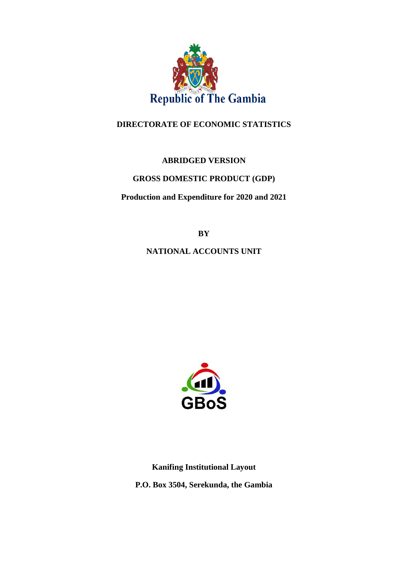

## **DIRECTORATE OF ECONOMIC STATISTICS**

## **ABRIDGED VERSION**

## **GROSS DOMESTIC PRODUCT (GDP)**

**Production and Expenditure for 2020 and 2021**

**BY**

**NATIONAL ACCOUNTS UNIT**



**Kanifing Institutional Layout P.O. Box 3504, Serekunda, the Gambia**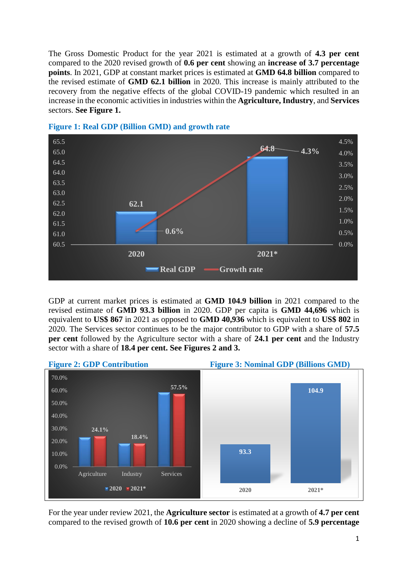The Gross Domestic Product for the year 2021 is estimated at a growth of **4.3 per cent** compared to the 2020 revised growth of **0.6 per cent** showing an **increase of 3.7 percentage points**. In 2021, GDP at constant market prices is estimated at **GMD 64.8 billion** compared to the revised estimate of **GMD 62.1 billion** in 2020. This increase is mainly attributed to the recovery from the negative effects of the global COVID-19 pandemic which resulted in an increase in the economic activities in industries within the **Agriculture, Industry**, and **Services**  sectors. **See Figure 1.**





GDP at current market prices is estimated at **GMD 104.9 billion** in 2021 compared to the revised estimate of **GMD 93.3 billion** in 2020. GDP per capita is **GMD 44,696** which is equivalent to **US\$ 867** in 2021 as opposed to **GMD 40,936** which is equivalent to **US\$ 802** in 2020. The Services sector continues to be the major contributor to GDP with a share of **57.5 per cent** followed by the Agriculture sector with a share of **24.1 per cent** and the Industry sector with a share of **18.4 per cent. See Figures 2 and 3.**



For the year under review 2021, the **Agriculture sector** is estimated at a growth of **4.7 per cent** compared to the revised growth of **10.6 per cent** in 2020 showing a decline of **5.9 percentage**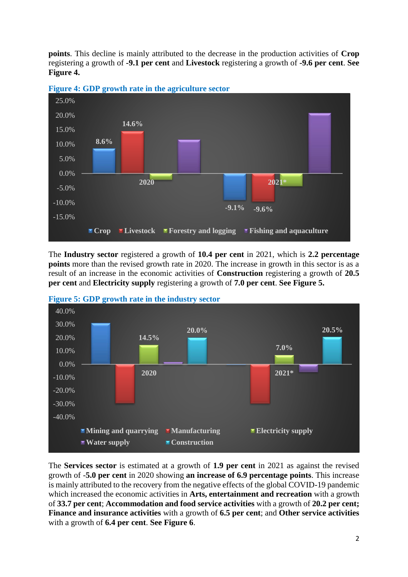**points**. This decline is mainly attributed to the decrease in the production activities of **Crop**  registering a growth of **-9.1 per cent** and **Livestock** registering a growth of **-9.6 per cent**. **See Figure 4.**



**Figure 4: GDP growth rate in the agriculture sector** 

The **Industry sector** registered a growth of **10.4 per cent** in 2021, which is **2.2 percentage points** more than the revised growth rate in 2020. The increase in growth in this sector is as a result of an increase in the economic activities of **Construction** registering a growth of **20.5 per cent** and **Electricity supply** registering a growth of **7.0 per cent**. **See Figure 5.**





The **Services sector** is estimated at a growth of **1.9 per cent** in 2021 as against the revised growth of -**5.0 per cent** in 2020 showing **an increase of 6.9 percentage points**. This increase is mainly attributed to the recovery from the negative effects of the global COVID-19 pandemic which increased the economic activities in **Arts, entertainment and recreation** with a growth of **33.7 per cent**; **Accommodation and food service activities** with a growth of **20.2 per cent; Finance and insurance activities** with a growth of **6.5 per cent**; and **Other service activities** with a growth of **6.4 per cent**. **See Figure 6**.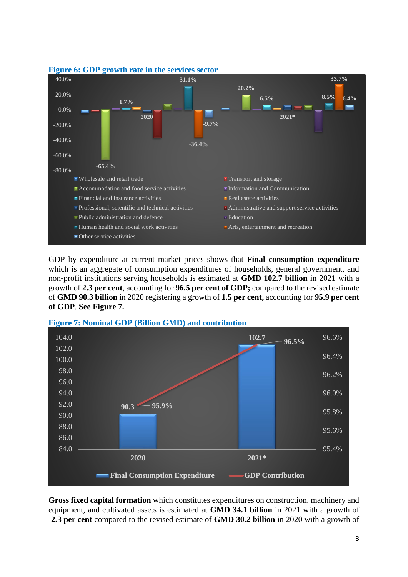

## **Figure 6: GDP growth rate in the services sector**

GDP by expenditure at current market prices shows that **Final consumption expenditure** which is an aggregate of consumption expenditures of households, general government, and non-profit institutions serving households is estimated at **GMD 102.7 billion** in 2021 with a growth of **2.3 per cent**, accounting for **96.5 per cent of GDP;** compared to the revised estimate of **GMD 90.3 billion** in 2020 registering a growth of **1.5 per cent,** accounting for **95.9 per cent of GDP***.* **See Figure 7.**



**Figure 7: Nominal GDP (Billion GMD) and contribution** 

**Gross fixed capital formation** which constitutes expenditures on construction, machinery and equipment, and cultivated assets is estimated at **GMD 34.1 billion** in 2021 with a growth of -**2.3 per cent** compared to the revised estimate of **GMD 30.2 billion** in 2020 with a growth of